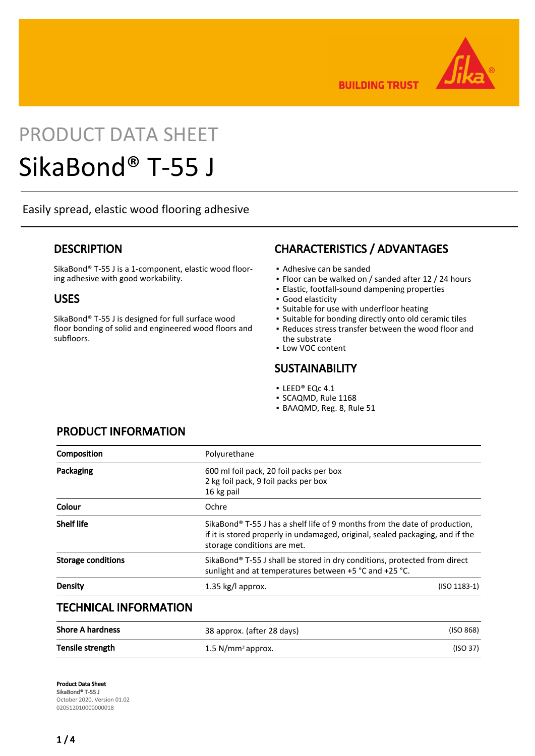

**BUILDING TRUST** 

# PRODUCT DATA SHEET

## SikaBond® T-55 J

Easily spread, elastic wood flooring adhesive

## **DESCRIPTION**

SikaBond® T-55 J is a 1-component, elastic wood flooring adhesive with good workability.

## USES

SikaBond® T-55 J is designed for full surface wood floor bonding of solid and engineered wood floors and subfloors.

## CHARACTERISTICS / ADVANTAGES

- Adhesive can be sanded
- Floor can be walked on / sanded after 12 / 24 hours
- Elastic, footfall-sound dampening properties
- Good elasticity
- **.** Suitable for use with underfloor heating
- Suitable for bonding directly onto old ceramic tiles
- **Reduces stress transfer between the wood floor and** the substrate
- **.** Low VOC content

## **SUSTAINABILITY**

- LEED® EQc 4.1
- SCAQMD, Rule 1168
- BAAQMD, Reg. 8, Rule 51

| Composition                  | Polyurethane                                                                                                                                                                                           |                |
|------------------------------|--------------------------------------------------------------------------------------------------------------------------------------------------------------------------------------------------------|----------------|
| Packaging                    | 600 ml foil pack, 20 foil packs per box<br>2 kg foil pack, 9 foil packs per box<br>16 kg pail                                                                                                          |                |
| Colour                       | Ochre                                                                                                                                                                                                  |                |
| <b>Shelf life</b>            | SikaBond <sup>®</sup> T-55 J has a shelf life of 9 months from the date of production,<br>if it is stored properly in undamaged, original, sealed packaging, and if the<br>storage conditions are met. |                |
| <b>Storage conditions</b>    | SikaBond <sup>®</sup> T-55 J shall be stored in dry conditions, protected from direct<br>sunlight and at temperatures between +5 °C and +25 °C.                                                        |                |
| Density                      | 1.35 kg/l approx.                                                                                                                                                                                      | $(ISO 1183-1)$ |
| <b>TECHNICAL INFORMATION</b> |                                                                                                                                                                                                        |                |
|                              |                                                                                                                                                                                                        |                |

| <b>Shore A hardness</b> | 38 approx. (after 28 days)      | (ISO 868) |
|-------------------------|---------------------------------|-----------|
| Tensile strength        | $1.5$ N/mm <sup>2</sup> approx. | (ISO 37)  |

## PRODUCT INFORMATION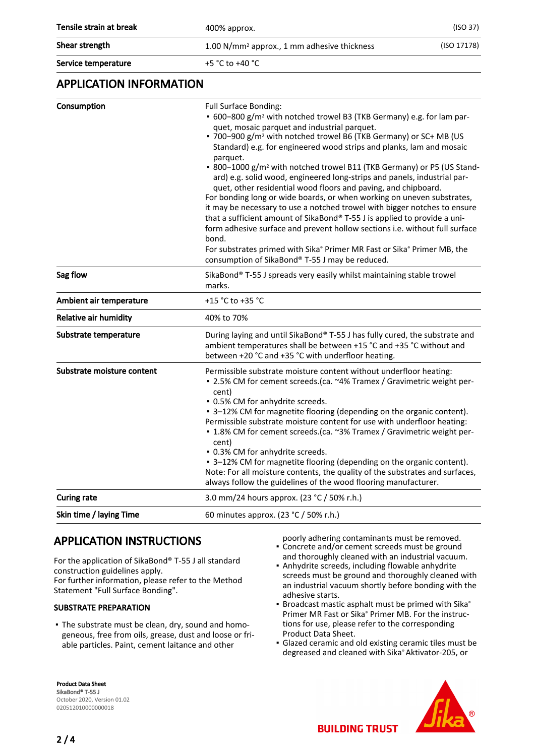| Tensile strain at break<br>400% approx. | (ISO 37)                                                               |
|-----------------------------------------|------------------------------------------------------------------------|
| Shear strength                          | (ISO 17178)<br>1.00 N/mm <sup>2</sup> approx., 1 mm adhesive thickness |
|                                         |                                                                        |

Service temperature  $+5 °C$  to  $+40 °C$ 

## APPLICATION INFORMATION

| Consumption                  | <b>Full Surface Bonding:</b><br>• 600-800 g/m <sup>2</sup> with notched trowel B3 (TKB Germany) e.g. for lam par-<br>quet, mosaic parquet and industrial parquet.<br>. 700-900 g/m <sup>2</sup> with notched trowel B6 (TKB Germany) or SC+ MB (US<br>Standard) e.g. for engineered wood strips and planks, lam and mosaic<br>parquet.<br>• 800-1000 g/m <sup>2</sup> with notched trowel B11 (TKB Germany) or P5 (US Stand-<br>ard) e.g. solid wood, engineered long-strips and panels, industrial par-<br>quet, other residential wood floors and paving, and chipboard.<br>For bonding long or wide boards, or when working on uneven substrates,<br>it may be necessary to use a notched trowel with bigger notches to ensure<br>that a sufficient amount of SikaBond® T-55 J is applied to provide a uni-<br>form adhesive surface and prevent hollow sections i.e. without full surface<br>bond.<br>For substrates primed with Sika® Primer MR Fast or Sika® Primer MB, the<br>consumption of SikaBond® T-55 J may be reduced. |
|------------------------------|--------------------------------------------------------------------------------------------------------------------------------------------------------------------------------------------------------------------------------------------------------------------------------------------------------------------------------------------------------------------------------------------------------------------------------------------------------------------------------------------------------------------------------------------------------------------------------------------------------------------------------------------------------------------------------------------------------------------------------------------------------------------------------------------------------------------------------------------------------------------------------------------------------------------------------------------------------------------------------------------------------------------------------------|
| Sag flow                     | SikaBond® T-55 J spreads very easily whilst maintaining stable trowel<br>marks.                                                                                                                                                                                                                                                                                                                                                                                                                                                                                                                                                                                                                                                                                                                                                                                                                                                                                                                                                      |
| Ambient air temperature      | +15 °C to +35 °C                                                                                                                                                                                                                                                                                                                                                                                                                                                                                                                                                                                                                                                                                                                                                                                                                                                                                                                                                                                                                     |
| <b>Relative air humidity</b> | 40% to 70%                                                                                                                                                                                                                                                                                                                                                                                                                                                                                                                                                                                                                                                                                                                                                                                                                                                                                                                                                                                                                           |
| Substrate temperature        | During laying and until SikaBond® T-55 J has fully cured, the substrate and<br>ambient temperatures shall be between +15 °C and +35 °C without and<br>between +20 °C and +35 °C with underfloor heating.                                                                                                                                                                                                                                                                                                                                                                                                                                                                                                                                                                                                                                                                                                                                                                                                                             |
| Substrate moisture content   | Permissible substrate moisture content without underfloor heating:<br>- 2.5% CM for cement screeds. (ca. ~4% Tramex / Gravimetric weight per-<br>cent)<br>. 0.5% CM for anhydrite screeds.<br>• 3-12% CM for magnetite flooring (depending on the organic content).<br>Permissible substrate moisture content for use with underfloor heating:<br>• 1.8% CM for cement screeds. (ca. ~3% Tramex / Gravimetric weight per-<br>cent)<br>. 0.3% CM for anhydrite screeds.<br>• 3-12% CM for magnetite flooring (depending on the organic content).<br>Note: For all moisture contents, the quality of the substrates and surfaces,<br>always follow the guidelines of the wood flooring manufacturer.                                                                                                                                                                                                                                                                                                                                   |
| <b>Curing rate</b>           | 3.0 mm/24 hours approx. (23 °C / 50% r.h.)                                                                                                                                                                                                                                                                                                                                                                                                                                                                                                                                                                                                                                                                                                                                                                                                                                                                                                                                                                                           |
| Skin time / laying Time      | 60 minutes approx. (23 °C / 50% r.h.)                                                                                                                                                                                                                                                                                                                                                                                                                                                                                                                                                                                                                                                                                                                                                                                                                                                                                                                                                                                                |

## APPLICATION INSTRUCTIONS

For the application of SikaBond® T-55 J all standard construction guidelines apply. For further information, please refer to the Method Statement "Full Surface Bonding".

#### SUBSTRATE PREPARATION

The substrate must be clean, dry, sound and homo-▪ geneous, free from oils, grease, dust and loose or friable particles. Paint, cement laitance and other

poorly adhering contaminants must be removed. Concrete and/or cement screeds must be ground ▪ and thoroughly cleaned with an industrial vacuum.

- Anhydrite screeds, including flowable anhydrite screeds must be ground and thoroughly cleaned with an industrial vacuum shortly before bonding with the adhesive starts.
- **Broadcast mastic asphalt must be primed with Sika®** Primer MR Fast or Sika® Primer MB. For the instructions for use, please refer to the corresponding Product Data Sheet.
- **Glazed ceramic and old existing ceramic tiles must be** degreased and cleaned with Sika® Aktivator-205, or





**BUILDING TRUST**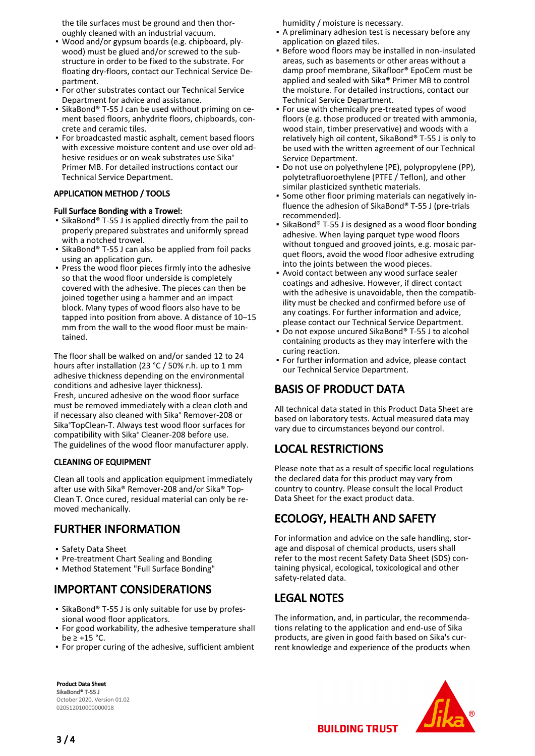the tile surfaces must be ground and then thoroughly cleaned with an industrial vacuum.

- Wood and/or gypsum boards (e.g. chipboard, ply-▪ wood) must be glued and/or screwed to the substructure in order to be fixed to the substrate. For floating dry-floors, contact our Technical Service Department.
- **For other substrates contact our Technical Service** Department for advice and assistance.
- **E** SikaBond® T-55 J can be used without priming on cement based floors, anhydrite floors, chipboards, concrete and ceramic tiles.
- For broadcasted mastic asphalt, cement based floors with excessive moisture content and use over old adhesive residues or on weak substrates use Sika® Primer MB. For detailed instructions contact our Technical Service Department.

#### APPLICATION METHOD / TOOLS

#### Full Surface Bonding with a Trowel:

- SikaBond® T-55 J is applied directly from the pail to properly prepared substrates and uniformly spread with a notched trowel.
- SikaBond® T-55 J can also be applied from foil packs using an application gun.
- **Press the wood floor pieces firmly into the adhesive** so that the wood floor underside is completely covered with the adhesive. The pieces can then be joined together using a hammer and an impact block. Many types of wood floors also have to be tapped into position from above. A distance of 10−15 mm from the wall to the wood floor must be maintained.

The floor shall be walked on and/or sanded 12 to 24 hours after installation (23 °C / 50% r.h. up to 1 mm adhesive thickness depending on the environmental conditions and adhesive layer thickness). Fresh, uncured adhesive on the wood floor surface must be removed immediately with a clean cloth and if necessary also cleaned with Sika® Remover-208 or Sika®TopClean-T. Always test wood floor surfaces for compatibility with Sika® Cleaner-208 before use. The guidelines of the wood floor manufacturer apply.

#### CLEANING OF EQUIPMENT

Clean all tools and application equipment immediately after use with Sika® Remover-208 and/or Sika® Top-Clean T. Once cured, residual material can only be removed mechanically.

## FURTHER INFORMATION

- Safety Data Sheet
- Pre-treatment Chart Sealing and Bonding
- Method Statement "Full Surface Bonding"

## IMPORTANT CONSIDERATIONS

- **E** SikaBond® T-55 J is only suitable for use by professional wood floor applicators.
- **For good workability, the adhesive temperature shall** be  $\ge$  +15 °C.
- For proper curing of the adhesive, sufficient ambient

humidity / moisture is necessary.

- A preliminary adhesion test is necessary before any application on glazed tiles.
- **Before wood floors may be installed in non-insulated** areas, such as basements or other areas without a damp proof membrane, Sikafloor® EpoCem must be applied and sealed with Sika® Primer MB to control the moisture. For detailed instructions, contact our Technical Service Department.
- **For use with chemically pre-treated types of wood** floors (e.g. those produced or treated with ammonia, wood stain, timber preservative) and woods with a relatively high oil content, SikaBond® T-55 J is only to be used with the written agreement of our Technical Service Department.
- Do not use on polyethylene (PE), polypropylene (PP), polytetrafluoroethylene (PTFE / Teflon), and other similar plasticized synthetic materials.
- Some other floor priming materials can negatively influence the adhesion of SikaBond® T-55 J (pre-trials recommended). ▪
- SikaBond® T-55 J is designed as a wood floor bonding adhesive. When laying parquet type wood floors without tongued and grooved joints, e.g. mosaic parquet floors, avoid the wood floor adhesive extruding into the joints between the wood pieces.
- Avoid contact between any wood surface sealer coatings and adhesive. However, if direct contact with the adhesive is unavoidable, then the compatibility must be checked and confirmed before use of any coatings. For further information and advice, please contact our Technical Service Department.
- Do not expose uncured SikaBond® T-55 J to alcohol containing products as they may interfere with the curing reaction.
- For further information and advice, please contact our Technical Service Department.

## BASIS OF PRODUCT DATA

All technical data stated in this Product Data Sheet are based on laboratory tests. Actual measured data may vary due to circumstances beyond our control.

## LOCAL RESTRICTIONS

Please note that as a result of specific local regulations the declared data for this product may vary from country to country. Please consult the local Product Data Sheet for the exact product data.

## ECOLOGY, HEALTH AND SAFETY

For information and advice on the safe handling, storage and disposal of chemical products, users shall refer to the most recent Safety Data Sheet (SDS) containing physical, ecological, toxicological and other safety-related data.

## LEGAL NOTES

The information, and, in particular, the recommendations relating to the application and end-use of Sika products, are given in good faith based on Sika's current knowledge and experience of the products when





**BUILDING TRUST**